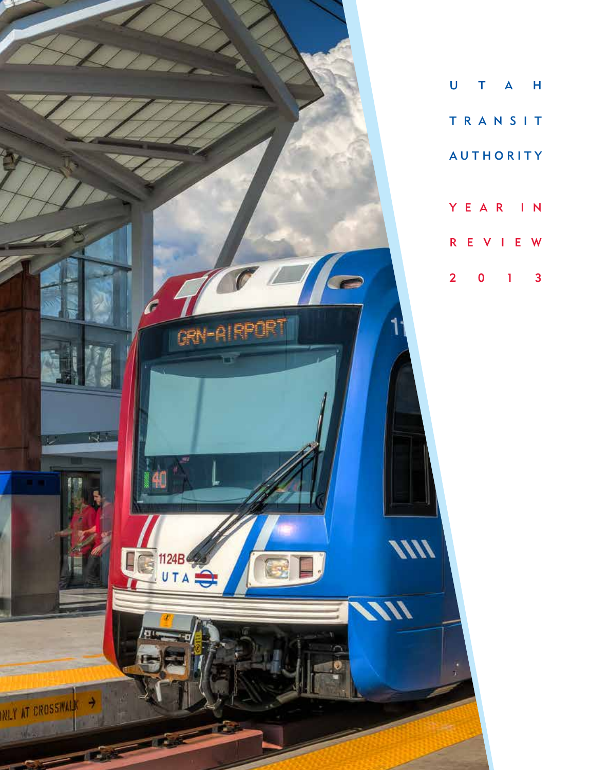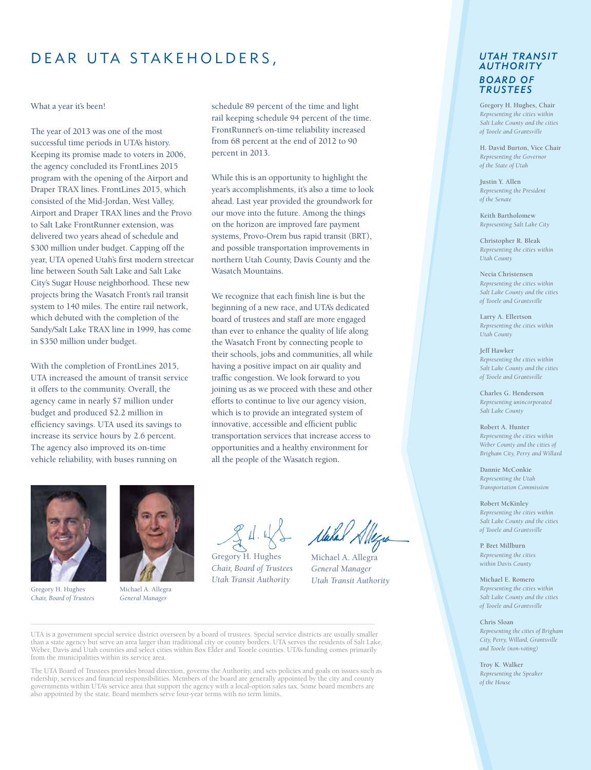## DEAR UTA STAKEHOLDERS,

#### What a year it's been!

The year of 2013 was one of the most successful time periods in UTA's history. Keeping its promise made to voters in 2006, the agency concluded its FrontLines 2015 program with the opening of the Airport and Draper TRAX lines. FrontLines 2015, which consisted of the Mid-Jordan, West Valley, Airport and Draper TRAX lines and the Provo to Salt Lake FrontRunner extension, was delivered two years ahead of schedule and \$300 million under budget. Capping off the year, UTA opened Utah's first modern streetcar line between South Salt Lake and Salt Lake City's Sugar House neighborhood. These new projects bring the Wasatch Front's rail transit system to 140 miles. The entire rail network, which debuted with the completion of the Sandy/Salt Lake TRAX line in 1999, has come in \$350 million under budget.

With the completion of FrontLines 2015, UTA increased the amount of transit service it offers to the community. Overall, the agency came in nearly \$7 million under budget and produced \$2.2 million in efficiency savings. UTA used its savings to increase its service hours by 2.6 percent. The agency also improved its on-time vehicle reliability, with buses running on

schedule 89 percent of the time and light rail keeping schedule 94 percent of the time. FrontRunner's on-time reliability increased from 68 percent at the end of 2012 to 90 percent in 2013.

While this is an opportunity to highlight the year's accomplishments, it's also a time to look ahead. Last year provided the groundwork for our move into the future. Among the things on the horizon are improved fare payment systems, Provo-Orem bus rapid transit (BRT), and possible transportation improvements in northern Utah County, Davis County and the Wasatch Mountains.

We recognize that each finish line is but the beginning of a new race, and UTA's dedicated board of trustees and staff are more engaged than ever to enhance the quality of life along the Wasatch Front by connecting people to their schools, jobs and communities, all while having a positive impact on air quality and traffic congestion. We look forward to you joining us as we proceed with these and other efforts to continue to live our agency vision, which is to provide an integrated system of innovative, accessible and efficient public transportation services that increase access to opportunities and a healthy environment for all the people of the Wasatch region.



Gregory H. Hughes *Chair, Board of Trustees*



Michael A. Allegra *General Manager*

Gregory H. Hughes *Chair, Board of Trustees Utah Transit Authority*

Malal Allegra

Michael A. Allegra *General Manager Utah Transit Authority*

UTA is a government special service district overseen by a board of trustees. Special service districts are usually smaller than a state agency but serve an area larger than traditional city or county borders. UTA serves the residents of Salt Lake, Weber, Davis and Utah counties and select cities within Box Elder and Tooele counties. UTA's funding comes primarily from the municipalities within its service area.

The UTA Board of Trustees provides broad direction, governs the Authority, and sets policies and goals on issues such as ridership, services and financial responsibilities. Members of the board are generally appointed by the city and county governments within UTA's service area that support the agency with a local-option sales tax. Some board members are also appointed by the state. Board members serve four-year terms with no term limits.

#### *UTAH TRANSIT AUTHORITY BOARD OF TRUSTEES*

**Gregory H. Hughes, Chair** *Representing the cities within Salt Lake County and the cities of Tooele and Grantsville*

**H. David Burton, Vice Chair** *Representing the Governor of the State of Utah*

**Justin Y. Allen** *Representing the President of the Senate*

**Keith Bartholomew** *Representing Salt Lake City*

**Christopher R. Bleak** *Representing the cities within Utah County*

**Necia Christensen** *Representing the cities within Salt Lake County and the cities of Tooele and Grantsville*

**Larry A. Ellertson** *Representing the cities within Utah County*

**Jeff Hawker** *Representing the cities within Salt Lake County and the cities of Tooele and Grantsville*

**Charles G. Henderson** *Representing unincorporated Salt Lake County*

**Robert A. Hunter** *Representing the cities within Weber County and the cities of Brigham City, Perry and Willard*

**Dannie McConkie** *Representing the Utah Transportation Commission*

**Robert McKinley** *Representing the cities within Salt Lake County and the cities of Tooele and Grantsville*

**P. Bret Millburn** *Representing the cities within Davis County*

**Michael E. Romero** *Representing the cities within Salt Lake County and the cities of Tooele and Grantsville*

**Chris Sloan** *Representing the cities of Brigham City, Perry, Willard, Grantsville and Tooele (non-voting)*

**Troy K. Walker** *Representing the Speaker of the House*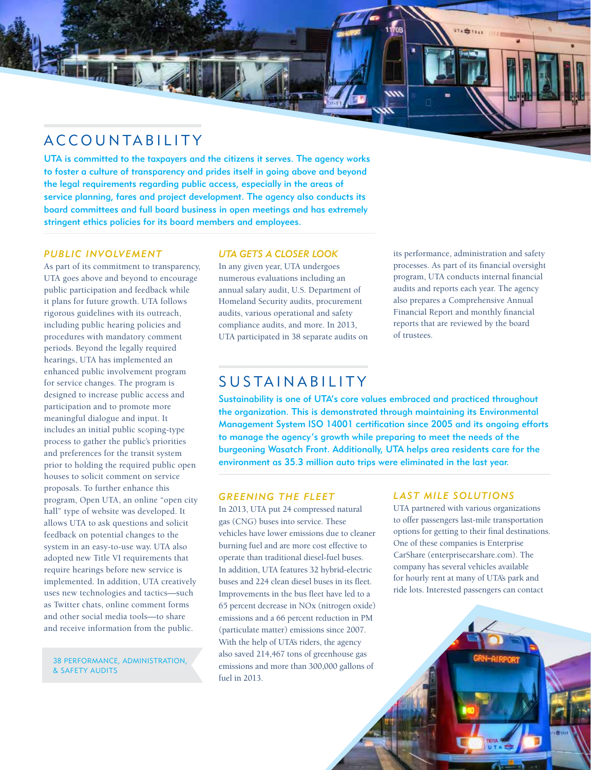## ACCOUNTABILITY

ΤĦ

UTA is committed to the taxpayers and the citizens it serves. The agency works to foster a culture of transparency and prides itself in going above and beyond the legal requirements regarding public access, especially in the areas of service planning, fares and project development. The agency also conducts its board committees and full board business in open meetings and has extremely stringent ethics policies for its board members and employees.

#### *PUBLIC INVOLVEMENT*

As part of its commitment to transparency, UTA goes above and beyond to encourage public participation and feedback while it plans for future growth. UTA follows rigorous guidelines with its outreach, including public hearing policies and procedures with mandatory comment periods. Beyond the legally required hearings, UTA has implemented an enhanced public involvement program for service changes. The program is designed to increase public access and participation and to promote more meaningful dialogue and input. It includes an initial public scoping-type process to gather the public's priorities and preferences for the transit system prior to holding the required public open houses to solicit comment on service proposals. To further enhance this program, Open UTA, an online "open city hall" type of website was developed. It allows UTA to ask questions and solicit feedback on potential changes to the system in an easy-to-use way. UTA also adopted new Title VI requirements that require hearings before new service is implemented. In addition, UTA creatively uses new technologies and tactics—such as Twitter chats, online comment forms and other social media tools—to share and receive information from the public.

38 PERFORMANCE, ADMINISTRATION, & SAFETY AUDITS

#### *UTA GETS A CLOSER LOOK*

In any given year, UTA undergoes numerous evaluations including an annual salary audit, U.S. Department of Homeland Security audits, procurement audits, various operational and safety compliance audits, and more. In 2013, UTA participated in 38 separate audits on its performance, administration and safety processes. As part of its financial oversight program, UTA conducts internal financial audits and reports each year. The agency also prepares a Comprehensive Annual Financial Report and monthly financial reports that are reviewed by the board of trustees.

## SUSTAINABILITY

Sustainability is one of UTA's core values embraced and practiced throughout the organization. This is demonstrated through maintaining its Environmental Management System ISO 14001 certification since 2005 and its ongoing efforts to manage the agency's growth while preparing to meet the needs of the burgeoning Wasatch Front. Additionally, UTA helps area residents care for the environment as 35.3 million auto trips were eliminated in the last year.

## *Greening the Fleet*

In 2013, UTA put 24 compressed natural gas (CNG) buses into service. These vehicles have lower emissions due to cleaner burning fuel and are more cost effective to operate than traditional diesel-fuel buses. In addition, UTA features 32 hybrid-electric buses and 224 clean diesel buses in its fleet. Improvements in the bus fleet have led to a 65 percent decrease in NOx (nitrogen oxide) emissions and a 66 percent reduction in PM (particulate matter) emissions since 2007. With the help of UTA's riders, the agency also saved 214,467 tons of greenhouse gas emissions and more than 300,000 gallons of fuel in 2013.

#### *LAST MILE SOLUTIONS*

UTA partnered with various organizations to offer passengers last-mile transportation options for getting to their final destinations. One of these companies is Enterprise CarShare (enterprisecarshare.com). The company has several vehicles available for hourly rent at many of UTA's park and ride lots. Interested passengers can contact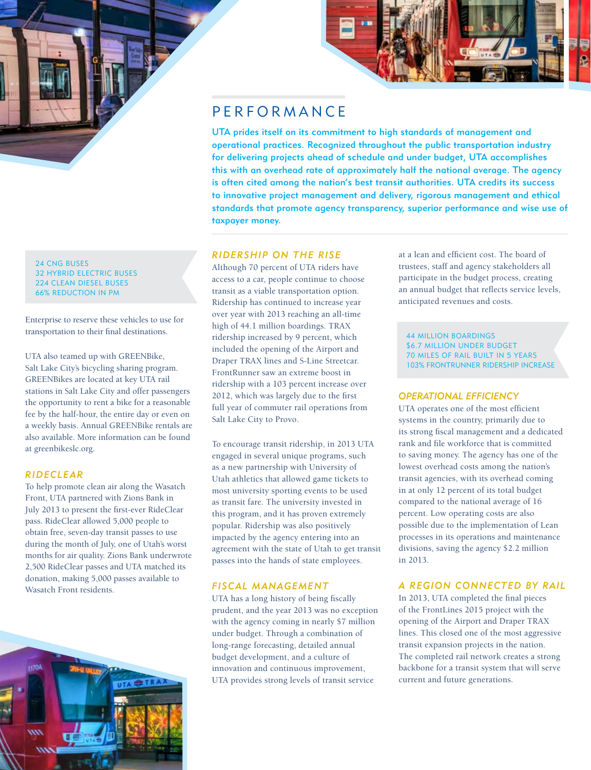

24 CNG BUSES 32 HYBRID ELECTRIC BUSES 224 CLEAN DIESEL BUSES 66% REDUCTION IN PM

Enterprise to reserve these vehicles to use for transportation to their final destinations.

UTA also teamed up with GREENBike, Salt Lake City's bicycling sharing program. GREENBikes are located at key UTA rail stations in Salt Lake City and offer passengers the opportunity to rent a bike for a reasonable fee by the half-hour, the entire day or even on a weekly basis. Annual GREENBike rentals are also available. More information can be found at greenbikeslc.org.

#### *RIDECLEAR*

To help promote clean air along the Wasatch Front, UTA partnered with Zions Bank in July 2013 to present the first-ever RideClear pass. RideClear allowed 5,000 people to obtain free, seven-day transit passes to use during the month of July, one of Utah's worst months for air quality. Zions Bank underwrote 2,500 RideClear passes and UTA matched its donation, making 5,000 passes available to Wasatch Front residents.





## **PERFORMANCE**

UTA prides itself on its commitment to high standards of management and operational practices. Recognized throughout the public transportation industry for delivering projects ahead of schedule and under budget, UTA accomplishes this with an overhead rate of approximately half the national average. The agency is often cited among the nation's best transit authorities. UTA credits its success to innovative project management and delivery, rigorous management and ethical standards that promote agency transparency, superior performance and wise use of taxpayer money.

### *RIDERSHIP ON THE RISE*

Although 70 percent of UTA riders have access to a car, people continue to choose transit as a viable transportation option. Ridership has continued to increase year over year with 2013 reaching an all-time high of 44.1 million boardings. TRAX ridership increased by 9 percent, which included the opening of the Airport and Draper TRAX lines and S-Line Streetcar. FrontRunner saw an extreme boost in ridership with a 103 percent increase over 2012, which was largely due to the first full year of commuter rail operations from Salt Lake City to Provo.

To encourage transit ridership, in 2013 UTA engaged in several unique programs, such as a new partnership with University of Utah athletics that allowed game tickets to most university sporting events to be used as transit fare. The university invested in this program, and it has proven extremely popular. Ridership was also positively impacted by the agency entering into an agreement with the state of Utah to get transit passes into the hands of state employees.

#### *FISCAL MANAGEMENT*

UTA has a long history of being fiscally prudent, and the year 2013 was no exception with the agency coming in nearly \$7 million under budget. Through a combination of long-range forecasting, detailed annual budget development, and a culture of innovation and continuous improvement, UTA provides strong levels of transit service

at a lean and efficient cost. The board of trustees, staff and agency stakeholders all participate in the budget process, creating an annual budget that reflects service levels, anticipated revenues and costs.

44 MILLION BOARDINGS \$6.7 MILLION UNDER BUDGET 70 MILES OF RAIL BUILT IN 5 YEARS 103% FRONTRUNNER RIDERSHIP INCREASE

## *OPERATIONAL EFFICIENCY*

UTA operates one of the most efficient systems in the country, primarily due to its strong fiscal management and a dedicated rank and file workforce that is committed to saving money. The agency has one of the lowest overhead costs among the nation's transit agencies, with its overhead coming in at only 12 percent of its total budget compared to the national average of 16 percent. Low operating costs are also possible due to the implementation of Lean processes in its operations and maintenance divisions, saving the agency \$2.2 million in 2013.

#### *A REGION CONNECTED BY RAIL*

In 2013, UTA completed the final pieces of the FrontLines 2015 project with the opening of the Airport and Draper TRAX lines. This closed one of the most aggressive transit expansion projects in the nation. The completed rail network creates a strong backbone for a transit system that will serve current and future generations.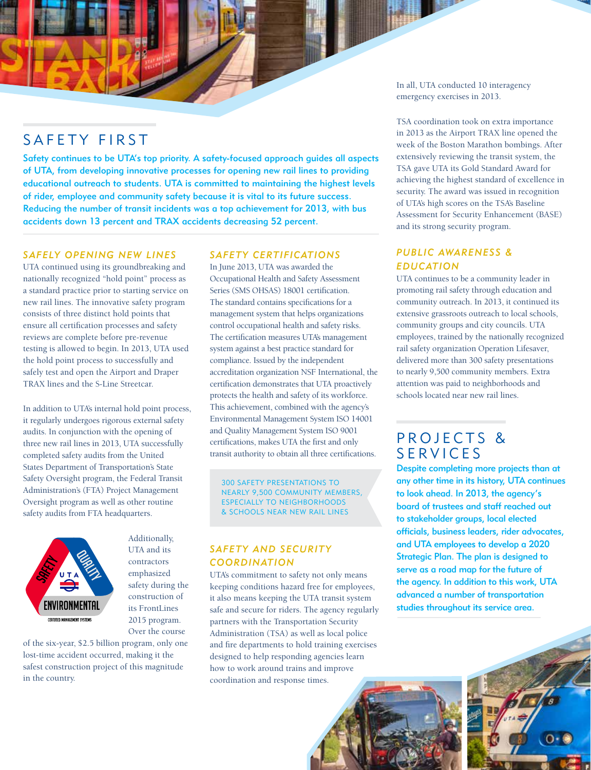In all, UTA conducted 10 interagency emergency exercises in 2013.

TSA coordination took on extra importance in 2013 as the Airport TRAX line opened the week of the Boston Marathon bombings. After extensively reviewing the transit system, the TSA gave UTA its Gold Standard Award for achieving the highest standard of excellence in security. The award was issued in recognition of UTA's high scores on the TSA's Baseline Assessment for Security Enhancement (BASE) and its strong security program.

## *Public Awareness & Education*

UTA continues to be a community leader in promoting rail safety through education and community outreach. In 2013, it continued its extensive grassroots outreach to local schools, community groups and city councils. UTA employees, trained by the nationally recognized rail safety organization Operation Lifesaver, delivered more than 300 safety presentations to nearly 9,500 community members. Extra attention was paid to neighborhoods and schools located near new rail lines.

## PROJECTS & **SERVICES**

Despite completing more projects than at any other time in its history, UTA continues to look ahead. In 2013, the agency's board of trustees and staff reached out to stakeholder groups, local elected officials, business leaders, rider advocates, and UTA employees to develop a 2020 Strategic Plan. The plan is designed to serve as a road map for the future of the agency. In addition to this work, UTA advanced a number of transportation studies throughout its service area.

 $\circ$ 

# SAFETY FIRST

Safety continues to be UTA's top priority. A safety-focused approach guides all aspects of UTA, from developing innovative processes for opening new rail lines to providing educational outreach to students. UTA is committed to maintaining the highest levels of rider, employee and community safety because it is vital to its future success. Reducing the number of transit incidents was a top achievement for 2013, with bus accidents down 13 percent and TRAX accidents decreasing 52 percent.

#### *Safely Opening New Lines*

UTA continued using its groundbreaking and nationally recognized "hold point" process as a standard practice prior to starting service on new rail lines. The innovative safety program consists of three distinct hold points that ensure all certification processes and safety reviews are complete before pre-revenue testing is allowed to begin. In 2013, UTA used the hold point process to successfully and safely test and open the Airport and Draper TRAX lines and the S-Line Streetcar.

In addition to UTA's internal hold point process, it regularly undergoes rigorous external safety audits. In conjunction with the opening of three new rail lines in 2013, UTA successfully completed safety audits from the United States Department of Transportation's State Safety Oversight program, the Federal Transit Administration's (FTA) Project Management Oversight program as well as other routine safety audits from FTA headquarters.



Additionally, UTA and its contractors emphasized safety during the construction of its FrontLines 2015 program. Over the course

of the six-year, \$2.5 billion program, only one lost-time accident occurred, making it the safest construction project of this magnitude in the country.

## *Safety Certifications*

In June 2013, UTA was awarded the Occupational Health and Safety Assessment Series (SMS OHSAS) 18001 certification. The standard contains specifications for a management system that helps organizations control occupational health and safety risks. The certification measures UTA's management system against a best practice standard for compliance. Issued by the independent accreditation organization NSF International, the certification demonstrates that UTA proactively protects the health and safety of its workforce. This achievement, combined with the agency's Environmental Management System ISO 14001 and Quality Management System ISO 9001 certifications, makes UTA the first and only transit authority to obtain all three certifications.

300 SAFETY PRESENTATIONS TO NEARLY 9,500 COMMUNITY MEMBERS, ESPECIALLY TO NEIGHBORHOODS & SCHOOLS NEAR NEW RAIL LINES

## *Safety and Security Coordination*

UTA's commitment to safety not only means keeping conditions hazard free for employees, it also means keeping the UTA transit system safe and secure for riders. The agency regularly partners with the Transportation Security Administration (TSA) as well as local police and fire departments to hold training exercises designed to help responding agencies learn how to work around trains and improve coordination and response times.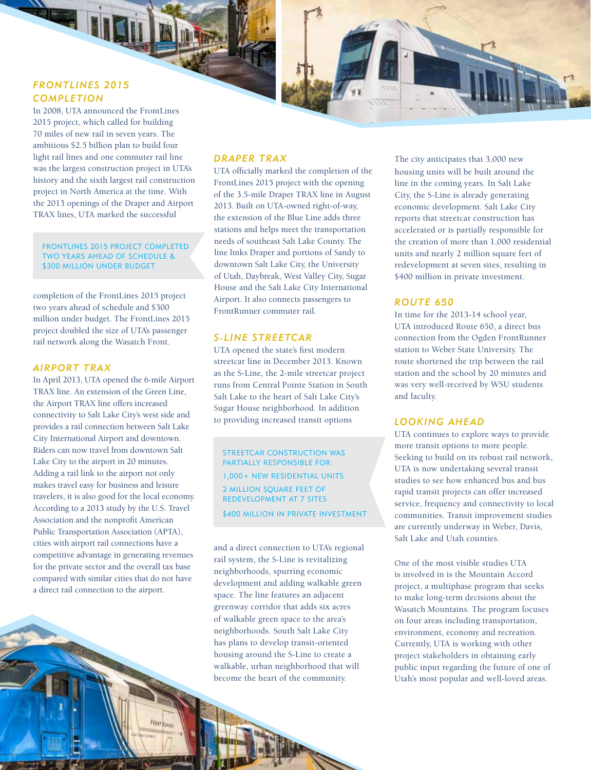## *FrontLines 2015 Completion*

In 2008, UTA announced the FrontLines 2015 project, which called for building 70 miles of new rail in seven years. The ambitious \$2.5 billion plan to build four light rail lines and one commuter rail line was the largest construction project in UTA's history and the sixth largest rail construction project in North America at the time. With the 2013 openings of the Draper and Airport TRAX lines, UTA marked the successful

FRONTLINES 2015 PROJECT COMPLETED TWO YEARS AHEAD OF SCHEDULE & \$300 MILLION UNDER BUDGET

completion of the FrontLines 2015 project two years ahead of schedule and \$300 million under budget. The FrontLines 2015 project doubled the size of UTA's passenger rail network along the Wasatch Front.

#### *Airport TRAX*

In April 2013, UTA opened the 6-mile Airport TRAX line. An extension of the Green Line, the Airport TRAX line offers increased connectivity to Salt Lake City's west side and provides a rail connection between Salt Lake City International Airport and downtown. Riders can now travel from downtown Salt Lake City to the airport in 20 minutes. Adding a rail link to the airport not only makes travel easy for business and leisure travelers, it is also good for the local economy. According to a 2013 study by the U.S. Travel Association and the nonprofit American Public Transportation Association (APTA), cities with airport rail connections have a competitive advantage in generating revenues for the private sector and the overall tax base compared with similar cities that do not have a direct rail connection to the airport.

**Fitst fann** 

## *Draper TRAX*

UTA officially marked the completion of the FrontLines 2015 project with the opening of the 3.5-mile Draper TRAX line in August 2013. Built on UTA-owned right-of-way, the extension of the Blue Line adds three stations and helps meet the transportation needs of southeast Salt Lake County. The line links Draper and portions of Sandy to downtown Salt Lake City, the University of Utah, Daybreak, West Valley City, Sugar House and the Salt Lake City International Airport. It also connects passengers to FrontRunner commuter rail.

### *S-Line Streetcar*

UTA opened the state's first modern streetcar line in December 2013. Known as the S-Line, the 2-mile streetcar project runs from Central Pointe Station in South Salt Lake to the heart of Salt Lake City's Sugar House neighborhood. In addition to providing increased transit options

STREETCAR CONSTRUCTION WAS PARTIALLY RESPONSIBLE FOR: 1,000+ NEW RESIDENTIAL UNITS 2 MILLION SQUARE FEET OF REDEVELOPMENT AT 7 SITES \$400 MILLION IN PRIVATE INVESTMENT

and a direct connection to UTA's regional rail system, the S-Line is revitalizing neighborhoods, spurring economic development and adding walkable green space. The line features an adjacent greenway corridor that adds six acres of walkable green space to the area's neighborhoods. South Salt Lake City has plans to develop transit-oriented housing around the S-Line to create a walkable, urban neighborhood that will become the heart of the community.

The city anticipates that 3,000 new housing units will be built around the line in the coming years. In Salt Lake City, the S-Line is already generating economic development. Salt Lake City reports that streetcar construction has accelerated or is partially responsible for the creation of more than 1,000 residential units and nearly 2 million square feet of redevelopment at seven sites, resulting in \$400 million in private investment.

### *Route 650*

In time for the 2013-14 school year, UTA introduced Route 650, a direct bus connection from the Ogden FrontRunner station to Weber State University. The route shortened the trip between the rail station and the school by 20 minutes and was very well-received by WSU students and faculty.

#### *Looking Ahead*

UTA continues to explore ways to provide more transit options to more people. Seeking to build on its robust rail network, UTA is now undertaking several transit studies to see how enhanced bus and bus rapid transit projects can offer increased service, frequency and connectivity to local communities. Transit improvement studies are currently underway in Weber, Davis, Salt Lake and Utah counties.

One of the most visible studies UTA is involved in is the Mountain Accord project, a multiphase program that seeks to make long-term decisions about the Wasatch Mountains. The program focuses on four areas including transportation, environment, economy and recreation. Currently, UTA is working with other project stakeholders in obtaining early public input regarding the future of one of Utah's most popular and well-loved areas.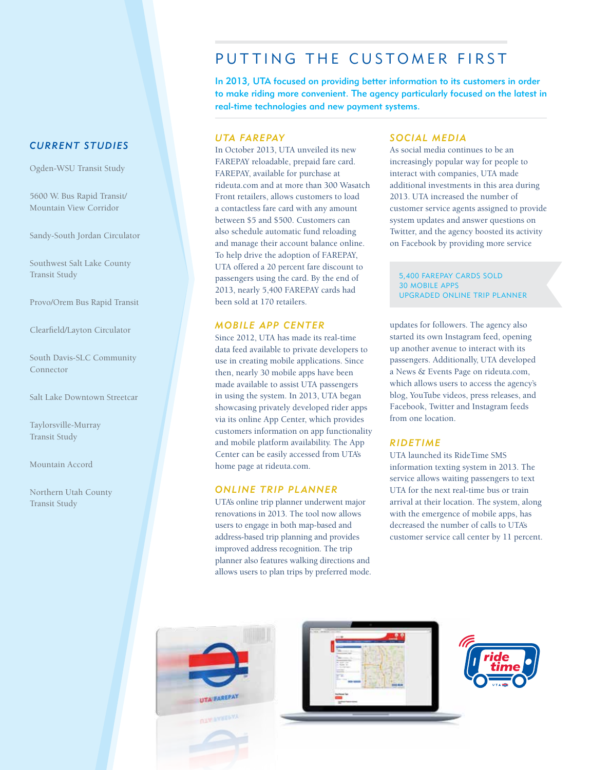### *CURRENT STUDIES*

Ogden-WSU Transit Study

5600 W. Bus Rapid Transit/ Mountain View Corridor

Sandy-South Jordan Circulator

Southwest Salt Lake County Transit Study

Provo/Orem Bus Rapid Transit

Clearfield/Layton Circulator

South Davis-SLC Community Connector

Salt Lake Downtown Streetcar

Taylorsville-Murray Transit Study

Mountain Accord

Northern Utah County Transit Study

## PUTTING THE CUSTOMER FIRST

In 2013, UTA focused on providing better information to its customers in order to make riding more convenient. The agency particularly focused on the latest in real-time technologies and new payment systems.

### *UTA FAREPAY*

In October 2013, UTA unveiled its new FAREPAY reloadable, prepaid fare card. FAREPAY, available for purchase at rideuta.com and at more than 300 Wasatch Front retailers, allows customers to load a contactless fare card with any amount between \$5 and \$500. Customers can also schedule automatic fund reloading and manage their account balance online. To help drive the adoption of FAREPAY, UTA offered a 20 percent fare discount to passengers using the card. By the end of 2013, nearly 5,400 FAREPAY cards had been sold at 170 retailers.

#### *Mobile App Center*

Since 2012, UTA has made its real-time data feed available to private developers to use in creating mobile applications. Since then, nearly 30 mobile apps have been made available to assist UTA passengers in using the system. In 2013, UTA began showcasing privately developed rider apps via its online App Center, which provides customers information on app functionality and mobile platform availability. The App Center can be easily accessed from UTA's home page at rideuta.com.

#### *Online Trip Planner*

UTA's online trip planner underwent major renovations in 2013. The tool now allows users to engage in both map-based and address-based trip planning and provides improved address recognition. The trip planner also features walking directions and allows users to plan trips by preferred mode.

#### *Social Media*

As social media continues to be an increasingly popular way for people to interact with companies, UTA made additional investments in this area during 2013. UTA increased the number of customer service agents assigned to provide system updates and answer questions on Twitter, and the agency boosted its activity on Facebook by providing more service

5,400 FAREPAY CARDS SOLD 30 MOBILE APPS UPGRADED ONLINE TRIP PLANNER

updates for followers. The agency also started its own Instagram feed, opening up another avenue to interact with its passengers. Additionally, UTA developed a News & Events Page on rideuta.com, which allows users to access the agency's blog, YouTube videos, press releases, and Facebook, Twitter and Instagram feeds from one location.

#### *RideTime*

UTA launched its RideTime SMS information texting system in 2013. The service allows waiting passengers to text UTA for the next real-time bus or train arrival at their location. The system, along with the emergence of mobile apps, has decreased the number of calls to UTA's customer service call center by 11 percent.